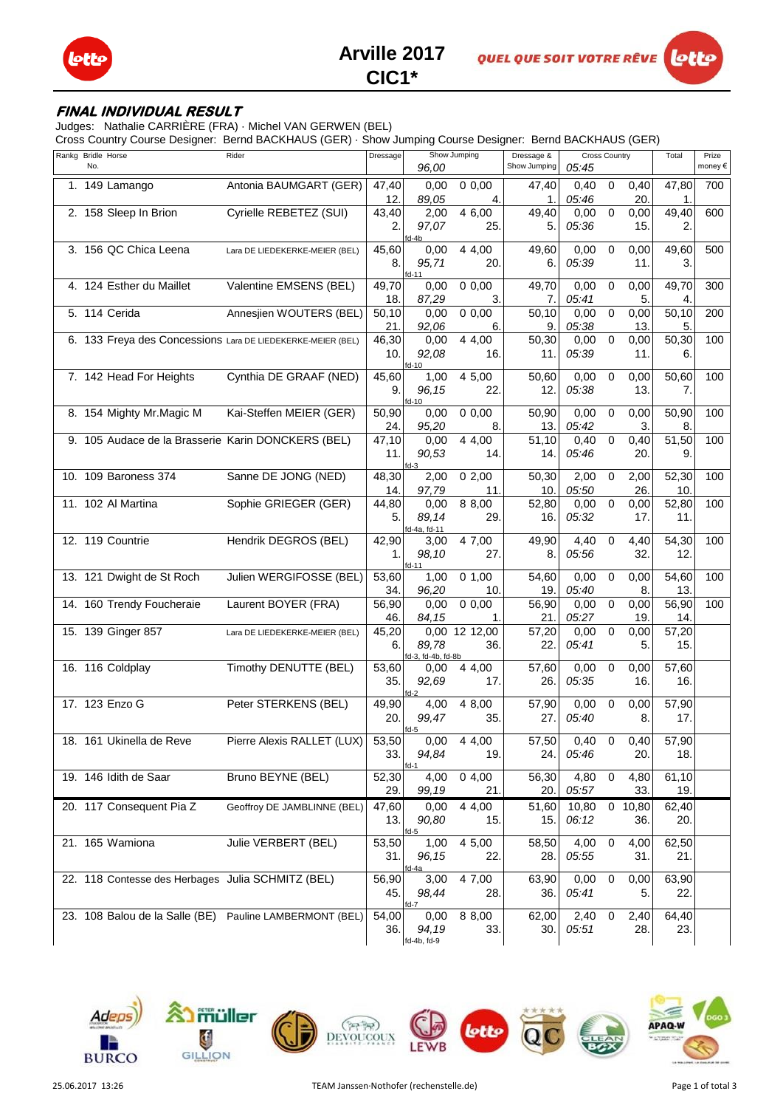



## **FINAL INDIVIDUAL RESULT**

Judges: Nathalie CARRIÈRE (FRA) · Michel VAN GERWEN (BEL)

Cross Country Course Designer: Bernd BACKHAUS (GER) · Show Jumping Course Designer: Bernd BACKHAUS (GER)

| Rankg Bridle Horse | No. |                                                   | Rider                                                       | Dressage           |                             | Show Jumping        | Dressage &<br>Show Jumping | <b>Cross Country</b> |                | Total       | Prize<br>money€ |     |
|--------------------|-----|---------------------------------------------------|-------------------------------------------------------------|--------------------|-----------------------------|---------------------|----------------------------|----------------------|----------------|-------------|-----------------|-----|
|                    |     |                                                   |                                                             |                    | 96,00                       |                     |                            | 05:45                |                |             |                 |     |
|                    |     | $1.149$ Lamango                                   | Antonia BAUMGART (GER)                                      | 47,40<br>12.       | 0,00<br>89,05               | 0,0,00<br>4.        | 47,40<br>1.                | 0,40<br>05:46        | $\mathbf 0$    | 0,40<br>20. | 47,80<br>1.     | 700 |
|                    |     | 2. 158 Sleep In Brion                             | Cyrielle REBETEZ (SUI)                                      | $\overline{4}3,40$ | 2,00                        | $\overline{4}$ 6,00 | 49,40                      | 0,00                 | $\overline{0}$ | 0,00        | 49,40           | 600 |
|                    |     |                                                   |                                                             | 2.                 | 97,07                       | 25.                 | 5.                         | 05:36                |                | 15.         | 2.              |     |
|                    |     |                                                   |                                                             |                    | fd-4b                       |                     |                            |                      |                |             |                 |     |
|                    |     | 3. 156 QC Chica Leena                             | Lara DE LIEDEKERKE-MEIER (BEL)                              | 45,60              | 0,00                        | 4 4,00              | 49,60                      | 0,00                 | $\mathbf 0$    | 0,00        | 49,60           | 500 |
|                    |     |                                                   |                                                             | 8.                 | 95,71<br>$fd-11$            | 20.                 | 6.                         | 05:39                |                | 11.         | 3.              |     |
|                    |     | 4. 124 Esther du Maillet                          | Valentine EMSENS (BEL)                                      | 49,70              | 0,00                        | 0,0,00              | 49,70                      | 0,00                 | 0              | 0,00        | 49,70           | 300 |
|                    |     |                                                   |                                                             | 18.                | 87,29                       | 3.                  | 7.                         | 05:41                |                | 5.          | 4.              |     |
|                    |     | 5. 114 Cerida                                     | Annesjien WOUTERS (BEL)                                     | 50,10              | 0,00                        | 0,0,00              | 50,10                      | 0,00                 | 0              | 0,00        | 50,10           | 200 |
|                    |     |                                                   |                                                             | 21.                | 92,06                       | 6.                  | 9.                         | 05:38                |                | 13.         | 5.              |     |
|                    |     |                                                   | 6. 133 Freya des Concessions Lara DE LIEDEKERKE-MEIER (BEL) | 46,30              | 0,00                        | 4 4,00              | 50,30                      | 0,00                 | $\mathbf 0$    | 0,00        | 50,30           | 100 |
|                    |     |                                                   |                                                             | 10.                | 92,08<br>$fd-10$            | 16.                 | 11.                        | 05:39                |                | 11.         | 6.              |     |
|                    |     | 7. 142 Head For Heights                           | Cynthia DE GRAAF (NED)                                      | 45,60              | 1,00                        | 4 5,00              | 50,60                      | 0,00                 | 0              | 0,00        | 50,60           | 100 |
|                    |     |                                                   |                                                             | 9.                 | 96,15                       | 22.                 | 12.                        | 05:38                |                | 13.         | 7.              |     |
|                    |     | 8. 154 Mighty Mr. Magic M                         | Kai-Steffen MEIER (GER)                                     | 50,90              | $fd-10$<br>0.00             | 0,0,00              | 50,90                      | 0,00                 | $\mathbf 0$    | 0,00        | 50,90           | 100 |
|                    |     |                                                   |                                                             | 24.                | 95,20                       | 8.                  | 13.                        | 05:42                |                | 3.          | 8.              |     |
|                    |     |                                                   | 9. 105 Audace de la Brasserie Karin DONCKERS (BEL)          | 47,10              | 0,00                        | 4 4,00              | 51,10                      | 0,40                 | 0              | 0,40        | 51,50           | 100 |
|                    |     |                                                   |                                                             | 11.                | 90,53                       | 14.                 | 14.                        | 05:46                |                | 20.         | 9.              |     |
|                    |     |                                                   |                                                             |                    | $fd-3$                      |                     |                            |                      |                |             |                 |     |
|                    |     | 10. 109 Baroness 374                              | Sanne DE JONG (NED)                                         | 48,30              | 2,00                        | 02,00               | 50,30                      | 2,00                 | $\mathbf 0$    | 2,00        | 52,30           | 100 |
|                    |     | 11. 102 Al Martina                                | Sophie GRIEGER (GER)                                        | 14.<br>44,80       | 97,79<br>0,00               | 11.<br>8 8,00       | 10.<br>52,80               | 05:50<br>0,00        | $\mathbf 0$    | 26.<br>0,00 | 10.<br>52,80    | 100 |
|                    |     |                                                   |                                                             | 5.                 | 89,14                       | 29.                 | 16.                        | 05:32                |                | 17.         | 11.             |     |
|                    |     |                                                   |                                                             |                    | fd-4a, fd-11                |                     |                            |                      |                |             |                 |     |
|                    |     | 12. 119 Countrie                                  | Hendrik DEGROS (BEL)                                        | 42,90              | 3,00                        | 4 7,00              | 49,90                      | 4,40                 | $\mathbf 0$    | 4,40        | 54,30           | 100 |
|                    |     |                                                   |                                                             | 1.                 | 98,10                       | 27.                 | 8.                         | 05:56                |                | 32.         | 12.             |     |
|                    |     | 13. 121 Dwight de St Roch                         | Julien WERGIFOSSE (BEL)                                     | 53,60              | $fd-11$<br>1,00             | 0, 1, 00            | 54,60                      | 0,00                 | 0              | 0,00        | 54,60           | 100 |
|                    |     |                                                   |                                                             | 34.                | 96,20                       | 10.                 | 19.                        | 05:40                |                | 8.          | 13.             |     |
|                    |     | 14. 160 Trendy Foucheraie                         | Laurent BOYER (FRA)                                         | 56,90              | 0,00                        | 0,0,00              | $\overline{56,90}$         | 0,00                 | $\mathbf 0$    | 0,00        | 56,90           | 100 |
|                    |     |                                                   |                                                             | 46.                | 84,15                       | 1.                  | 21.                        | 05:27                |                | 19.         | 14.             |     |
|                    |     | 15. 139 Ginger 857                                | Lara DE LIEDEKERKE-MEIER (BEL)                              | 45,20              |                             | 0,00 12 12,00       | 57,20                      | 0,00                 | $\mathbf 0$    | 0,00        | 57,20           |     |
|                    |     |                                                   |                                                             | 6.                 | 89,78<br>fd-3, fd-4b, fd-8b | 36.                 | 22.                        | 05:41                |                | 5.          | 15.             |     |
|                    |     | 16. 116 Coldplay                                  | Timothy DENUTTE (BEL)                                       | 53,60              | 0,00                        | 4 4,00              | 57,60                      | 0,00                 | 0              | 0,00        | 57,60           |     |
|                    |     |                                                   |                                                             | 35.                | 92,69                       | 17.                 | 26.                        | 05:35                |                | 16.         | 16.             |     |
|                    |     | 17. 123 Enzo G                                    | Peter STERKENS (BEL)                                        |                    | $fd-2$                      |                     | 57,90                      |                      | 0              |             |                 |     |
|                    |     |                                                   |                                                             | 49,90<br>20.       | 4,00<br>99,47               | 4 8,00<br>35.       | 27.                        | 0,00<br>05:40        |                | 0,00<br>8.  | 57,90<br>17.    |     |
|                    |     |                                                   |                                                             |                    | $fd-5$                      |                     |                            |                      |                |             |                 |     |
|                    |     | 18. 161 Ukinella de Reve                          | Pierre Alexis RALLET (LUX)                                  | 53,50              | 0,00                        | 4 4,00              | 57,50                      | 0,40                 | $\mathbf 0$    | 0,40        | 57,90           |     |
|                    |     |                                                   |                                                             | 33.                | 94,84                       | 19.                 | 24.                        | 05:46                |                | 20.         | 18.             |     |
|                    |     | 19. 146 Idith de Saar                             | Bruno BEYNE (BEL)                                           | 52,30              | $fd-1$<br>4,00              | 04,00               | 56,30                      | 4,80                 | $\mathbf 0$    | 4,80        | 61,10           |     |
|                    |     |                                                   |                                                             | 29.                | 99,19                       | 21.                 | 20.                        | 05:57                |                | 33.         | 19.             |     |
|                    |     | 20. 117 Consequent Pia Z                          | Geoffroy DE JAMBLINNE (BEL)                                 | 47,60              | 0,00                        | 4 4,00              | 51,60                      | 10,80                |                | 0 10,80     | 62,40           |     |
|                    |     |                                                   |                                                             | 13.                | 90,80                       | 15.                 | 15.                        | 06:12                |                | 36.         | 20.             |     |
|                    |     | 21. 165 Wamiona                                   | Julie VERBERT (BEL)                                         |                    |                             |                     |                            | 4,00                 | 0              |             | 62,50           |     |
|                    |     |                                                   |                                                             | 53,50<br>31.       | 1,00<br>96,15               | 4 5,00<br>22.       | 58,50<br>28.               | 05:55                |                | 4,00<br>31. | 21.             |     |
|                    |     |                                                   |                                                             |                    | fd-4a                       |                     |                            |                      |                |             |                 |     |
|                    |     | 22. 118 Contesse des Herbages Julia SCHMITZ (BEL) |                                                             | 56,90              | 3,00                        | 4 7,00              | 63,90                      | 0,00                 | 0              | 0,00        | 63,90           |     |
|                    |     |                                                   |                                                             | 45. l              | 98,44                       | 28.                 | 36.                        | 05:41                |                | 5.          | 22.             |     |
|                    |     | 23. 108 Balou de la Salle (BE)                    | Pauline LAMBERMONT (BEL)                                    | 54,00              | fd-7<br>0,00                | 8 8,00              | 62,00                      | 2,40                 | $\mathbf 0$    | 2,40        | 64,40           |     |
|                    |     |                                                   |                                                             | 36.                | 94,19                       | 33.                 | 30.                        | 05:51                |                | 28.         | 23.             |     |
|                    |     |                                                   |                                                             |                    | fd-4b, fd-9                 |                     |                            |                      |                |             |                 |     |





lotti

 $(* + 7)$ 

DEVOUCOUN

**APAQ**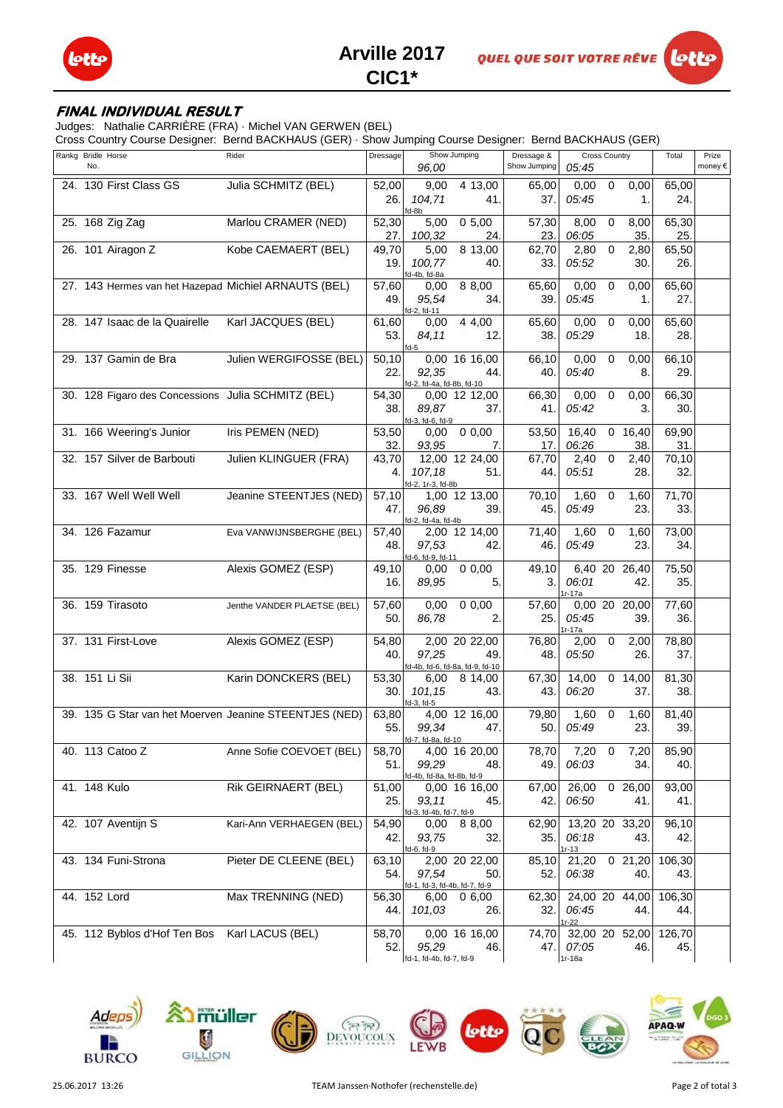



# **CIC1\***

### **FINAL INDIVIDUAL RESULT**

Judges: Nathalie CARRIÈRE (FRA) · Michel VAN GERWEN (BEL)

Cross Country Course Designer: Bernd BACKHAUS (GER) · Show Jumping Course Designer: Bernd BACKHAUS (GER)

| Rankg Bridle Horse | No. |                                                    | Rider                                                  | Dressage      | 96,00                                        | Show Jumping                                           | Dressage &<br>Show Jumping | 05:45                                       | <b>Cross Country</b> |                             | Total         | Prize<br>money€ |
|--------------------|-----|----------------------------------------------------|--------------------------------------------------------|---------------|----------------------------------------------|--------------------------------------------------------|----------------------------|---------------------------------------------|----------------------|-----------------------------|---------------|-----------------|
|                    |     | 24. 130 First Class GS                             | Julia SCHMITZ (BEL)                                    | 52,00<br>26.  | 9,00<br>104,71<br>fd-8b                      | $\overline{4}$ 13,00<br>41.                            | 65.00<br>37.               | 0,00<br>05:45                               | $\mathbf 0$          | 0,00<br>1.                  | 65,00<br>24.  |                 |
|                    |     | 25. 168 Zig Zag                                    | Marlou CRAMER (NED)                                    | 52,30<br>27.  | 5,00<br>100,32                               | 0,5,00<br>24.                                          | 57,30<br>23.               | 8,00<br>06:05                               | $\mathbf 0$          | 8,00<br>35.                 | 65,30<br>25.  |                 |
|                    |     | 26. 101 Airagon Z                                  | Kobe CAEMAERT (BEL)                                    | 49,70<br>19.  | 5,00<br>100.77                               | 8 13,00<br>40.                                         | 62,70<br>33.               | 2,80<br>05:52                               | $\mathbf 0$          | 2,80<br>30.                 | 65,50<br>26.  |                 |
|                    |     |                                                    | 27. 143 Hermes van het Hazepad Michiel ARNAUTS (BEL)   | 57,60<br>49.  | fd-4b, fd-8a<br>0,00<br>95,54                | 8 8,00<br>34.                                          | 65,60<br>39.               | 0,00<br>05:45                               | 0                    | 0,00<br>1.                  | 65,60<br>27.  |                 |
|                    |     | 28. 147 Isaac de la Quairelle                      | Karl JACQUES (BEL)                                     | 61,60<br>53.  | fd-2, fd-11<br>0,00<br>84,11                 | 4 4,00<br>12.                                          | 65,60<br>38.               | 0,00<br>05:29                               | 0                    | 0,00<br>18.                 | 65,60<br>28.  |                 |
|                    |     | 29. 137 Gamin de Bra                               | Julien WERGIFOSSE (BEL)                                | 50,10<br>22.  | $fd-5$<br>92,35<br>fd-2, fd-4a, fd-8b, fd-10 | 0,00 16 16,00<br>44.                                   | 66,10<br>40.               | 0,00<br>05:40                               | $\mathbf 0$          | 0,00<br>8.                  | 66,10<br>29.  |                 |
|                    |     | 30. 128 Figaro des Concessions Julia SCHMITZ (BEL) |                                                        | 54,30<br>38.  | 89,87<br>fd-3, fd-6, fd-9                    | 0,00 12 12,00<br>37.                                   | 66,30<br>41.               | 0,00<br>05:42                               | $\mathbf 0$          | 0,00<br>3.                  | 66,30<br>30.  |                 |
|                    |     | 31. 166 Weering's Junior                           | Iris PEMEN (NED)                                       | 53,50<br>32.  | 0,00<br>93,95                                | 0,0,00<br>7.                                           | 53,50<br>17.               | 16,40<br>06:26                              |                      | $\overline{0}$ 16,40<br>38. | 69,90<br>31.  |                 |
|                    |     | 32. 157 Silver de Barbouti                         | Julien KLINGUER (FRA)                                  | 43,70<br>4.   | 107,18<br>fd-2, 1r-3, fd-8b                  | 12,00 12 24,00<br>51.                                  | 67,70<br>44.               | 2,40<br>05:51                               | $\mathbf 0$          | 2,40<br>28.                 | 70,10<br>32.  |                 |
|                    |     | 33. 167 Well Well Well                             | Jeanine STEENTJES (NED)                                | 57,10<br>47.  | 96,89<br>fd-2, fd-4a, fd-4b                  | 1,00 12 13,00<br>39.                                   | 70,10<br>45.               | 1,60<br>05:49                               | 0                    | 1,60<br>23.                 | 71,70<br>33.  |                 |
|                    |     | 34. 126 Fazamur                                    | Eva VANWIJNSBERGHE (BEL)                               | 57,40<br>48.  | 97,53<br>fd-6, fd-9, fd-11                   | 2,00 12 14,00<br>42.                                   | 71,40<br>46.               | 1,60<br>05:49                               | 0                    | 1,60<br>23.                 | 73,00<br>34.  |                 |
|                    |     | 35. 129 Finesse                                    | Alexis GOMEZ (ESP)                                     | 49,10<br>16.  | 0,00<br>89,95                                | 0,0,00<br>5.                                           | 49,10<br>3.                | 06:01<br>$1r-17a$                           |                      | 6,40 20 26,40<br>42.        | 75,50<br>35.  |                 |
|                    |     | 36. 159 Tirasoto                                   | Jenthe VANDER PLAETSE (BEL)                            | 57,60<br>50.  | 0,00<br>86,78                                | 0,0,00<br>2.                                           | 57,60<br>25.               | 05:45<br>$1r-17a$                           |                      | 0,00 20 20,00<br>39.        | 77,60<br>36.  |                 |
|                    |     | 37. 131 First-Love                                 | Alexis GOMEZ (ESP)                                     | 54,80<br>40.  | 97,25                                        | 2,00 20 22,00<br>49<br>fd-4b, fd-6, fd-8a, fd-9, fd-10 | 76,80<br>48.               | 2,00<br>05:50                               | $\mathbf 0$          | 2,00<br>26.                 | 78,80<br>37.  |                 |
|                    |     | 38. 151 Li Sii                                     | Karin DONCKERS (BEL)                                   | 53,30<br>30.  | 6,00<br>101,15<br>fd-3, fd-5                 | 8 14,00<br>43.                                         | 67,30<br>43.               | 14,00<br>06:20                              |                      | 0, 14, 00<br>37.            | 81,30<br>38.  |                 |
|                    |     |                                                    | 39. 135 G Star van het Moerven Jeanine STEENTJES (NED) | 63,80<br>55.  | 99,34<br>fd-7, fd-8a, fd-10                  | 4,00 12 16,00<br>47.                                   | 79,80<br>50.               | 1,60<br>05:49                               | 0                    | 1,60<br>23.                 | 81,40<br>39.  |                 |
|                    |     | 40. 113 Catoo Z                                    | Anne Sofie COEVOET (BEL)                               | 58,70<br>51.  | 99,29<br>fd-4b, fd-8a, fd-8b, fd-9           | 4,00 16 20,00<br>48.                                   | 78,70<br>49.               | 7,20<br>06:03                               | $\mathbf 0$          | 7,20<br>34.                 | 85,90<br>40.  |                 |
|                    |     | 41. 148 Kulo                                       | Rik GEIRNAERT (BEL)                                    | 51,00<br>25.I | 93,11<br>fd-3, fd-4b, fd-7, fd-9             | 0,00 16 16,00<br>45.                                   | 67,00<br>42.               | 26,00<br>06:50                              |                      | 026,00<br>41.               | 93,00<br>41.  |                 |
|                    |     | 42. 107 Aventijn S                                 | Kari-Ann VERHAEGEN (BEL)                               | 54,90<br>42.  | 93,75<br>fd-6, fd-9                          | $0,00$ 8 8,00<br>32.                                   | 62,90<br>35.               | 13,20 20 33,20<br>06:18<br>1r-13            |                      | 43.                         | 96,10<br>42.  |                 |
|                    |     | 43. 134 Funi-Strona                                | Pieter DE CLEENE (BEL)                                 | 63,10<br>54.  | 97,54<br>fd-1, fd-3, fd-4b, fd-7, fd-9       | 2,00 20 22,00<br>50.                                   | 85,10<br>52.I              | 21,20<br>06:38                              |                      | 021,20<br>40.               | 106,30<br>43. |                 |
|                    |     | 44. 152 Lord                                       | Max TRENNING (NED)                                     | 56,30<br>44.1 | 101,03                                       | 6,00 0 6,00<br>26.                                     | 32.                        | 62,30 24,00 20 44,00<br>06:45<br>1 $r - 22$ |                      | 44.                         | 106,30<br>44. |                 |
|                    |     | 45. 112 Byblos d'Hof Ten Bos Karl LACUS (BEL)      |                                                        | 58,70<br>52.  | 95,29<br>fd-1, fd-4b, fd-7, fd-9             | 0,00 16 16,00<br>46.                                   | 74,70<br>47.               | 32,00 20 52,00<br>07:05<br>$1r-18a$         |                      | 46.                         | 126,70<br>45. |                 |